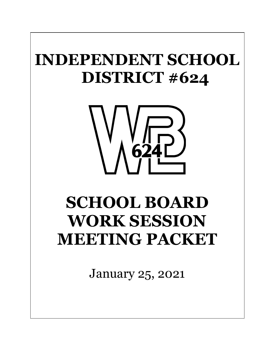## **INDEPENDENT SCHOOL DISTRICT #624**



## **SCHOOL BOARD WORK SESSION MEETING PACKET**

January 25, 2021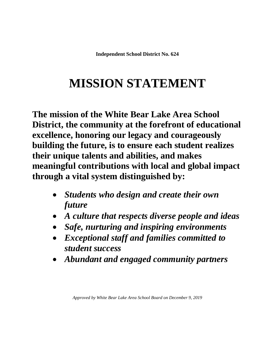**Independent School District No. 624**

### **MISSION STATEMENT**

**The mission of the White Bear Lake Area School District, the community at the forefront of educational excellence, honoring our legacy and courageously building the future, is to ensure each student realizes their unique talents and abilities, and makes meaningful contributions with local and global impact through a vital system distinguished by:**

- *Students who design and create their own future*
- *A culture that respects diverse people and ideas*
- *Safe, nurturing and inspiring environments*
- *Exceptional staff and families committed to student success*
- *Abundant and engaged community partners*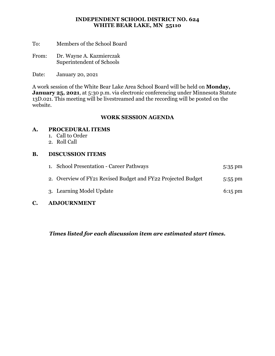#### **INDEPENDENT SCHOOL DISTRICT NO. 624 WHITE BEAR LAKE, MN 55110**

- To: Members of the School Board
- From: Dr. Wayne A. Kazmierczak Superintendent of Schools
- Date: January 20, 2021

A work session of the White Bear Lake Area School Board will be held on **Monday,** January 25, 2021, at 5:30 p.m. via electronic conferencing under Minnesota Statute 13D.021. This meeting will be livestreamed and the recording will be posted on the website.

#### **WORK SESSION AGENDA**

#### **A. PROCEDURAL ITEMS**

- 1. Call to Order
- 2. Roll Call

#### **B. DISCUSSION ITEMS**

| 1. School Presentation - Career Pathways                     | $5:35 \text{ pm}$ |
|--------------------------------------------------------------|-------------------|
| 2. Overview of FY21 Revised Budget and FY22 Projected Budget | $5:55 \text{ pm}$ |
| 3. Learning Model Update                                     | $6:15 \text{ pm}$ |

#### **C. ADJOURNMENT**

*Times listed for each discussion item are estimated start times.*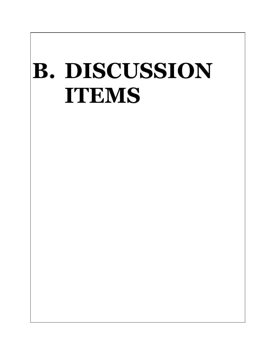# **B. DISCUSSION ITEMS**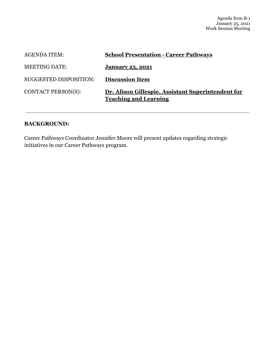| <b>AGENDA ITEM:</b>           | <b>School Presentation - Career Pathways</b>                                       |
|-------------------------------|------------------------------------------------------------------------------------|
| <b>MEETING DATE:</b>          | January 25, 2021                                                                   |
| <b>SUGGESTED DISPOSITION:</b> | <b>Discussion Item</b>                                                             |
| <b>CONTACT PERSON(S):</b>     | Dr. Alison Gillespie, Assistant Superintendent for<br><b>Teaching and Learning</b> |

#### **BACKGROUND:**

Career Pathways Coordinator Jennifer Moore will present updates regarding strategic initiatives in our Career Pathways program.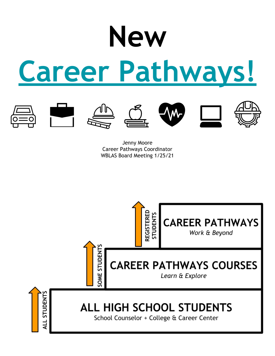# **New Career Pathways!**











Jenny Moore Career Pathways Coordinator WBLAS Board Meeting 1/25/21

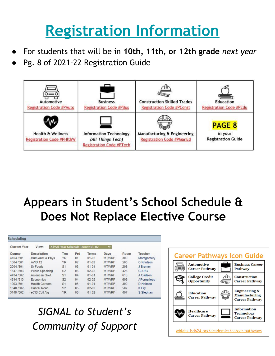## **Registration Information**

- For students that will be in **10th, 11th, or 12th grade** *next year*
- Pg. 8 of 2021-22 Registration Guide



## **Appears in Student's School Schedule & Does Not Replace Elective Course**

| Scheduling          |                        |                |     |                                   |              |      |              |
|---------------------|------------------------|----------------|-----|-----------------------------------|--------------|------|--------------|
| <b>Current Year</b> | View:                  |                |     | All=All Year Schedule Terms=01-02 | v            |      |              |
| Course              | <b>Description</b>     | Trm            | Prd | <b>Terms</b>                      | Days         | Room | Teacher      |
| 4164 /301           | Hum Anat & Phys        | <b>YR</b>      | 01  | $01 - 02$                         | <b>MTWRF</b> | 300  | Montgomery   |
| 1304/301            | AVID <sub>12</sub>     | <b>YR</b>      | 02  | $01 - 02$                         | <b>MTWRF</b> | 500  | C Knutson    |
| 2004/301            | Sr Foods               | S <sub>1</sub> | 03  | $01 - 01$                         | <b>MTWRF</b> | 206  | J Bremer     |
| 1847/303            | <b>Public Speaking</b> | S <sub>2</sub> | 03  | $02 - 02$                         | <b>MTWRF</b> | 425  | <b>CLUBY</b> |
| 4434 /302           | American Govt          | S <sub>1</sub> | 04  | $01 - 01$                         | <b>MTWRF</b> | 610  | A Carlson    |
| 4514 /313           | Economics              | S <sub>2</sub> | 04  | $02 - 02$                         | <b>MTWRF</b> | 605  | APomerleau   |
| 1993/301            | <b>Health Careers</b>  | S <sub>1</sub> | 05  | $01 - 01$                         | <b>MTWRF</b> | 302  | D Holman     |
| 1840 /302           | <b>Critical Read</b>   | S <sub>2</sub> | 05  | $02 - 02$                         | <b>MTWRF</b> | 507  | K Fry        |
| 3149 /302           | eCIS Coll Alg          | <b>YR</b>      | 06  | $01 - 02$                         | <b>MTWRF</b> | 407  | S Stephan    |

### *SIGNAL to Student's Community of Support*

| <b>Automotive</b><br><b>Career Pathway</b>  |  | <b>Business Career</b><br><b>Pathway</b>                                  |
|---------------------------------------------|--|---------------------------------------------------------------------------|
| <b>College Credit</b><br><b>Opportunity</b> |  | <b>Construction</b><br><b>Career Pathway</b>                              |
| <b>Education</b><br><b>Career Pathway</b>   |  | <b>Engineering &amp;</b><br><b>Manufacturing</b><br><b>Career Pathway</b> |
| <b>Healthcare</b><br><b>Career Pathway</b>  |  | <b>Information</b><br><b>Technology</b><br><b>Career Pathway</b>          |

wblahs.isd624.org/academics/career-pathways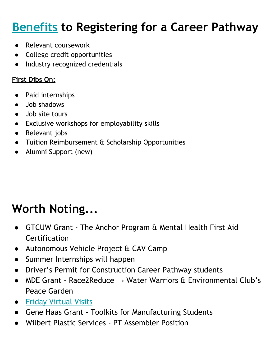## **Benefits to Registering for a Career Pathway**

- Relevant coursework
- College credit opportunities
- Industry recognized credentials

#### **First Dibs On:**

- Paid internships
- Job shadows
- Job site tours
- Exclusive workshops for employability skills
- Relevant jobs
- Tuition Reimbursement & Scholarship Opportunities
- Alumni Support (new)

## **Worth Noting...**

- GTCUW Grant The Anchor Program & Mental Health First Aid Certification
- Autonomous Vehicle Project & CAV Camp
- Summer Internships will happen
- Driver's Permit for Construction Career Pathway students
- MDE Grant Race2Reduce  $\rightarrow$  Water Warriors & Environmental Club's Peace Garden
- Friday Virtual Visits
- Gene Haas Grant Toolkits for Manufacturing Students
- Wilbert Plastic Services PT Assembler Position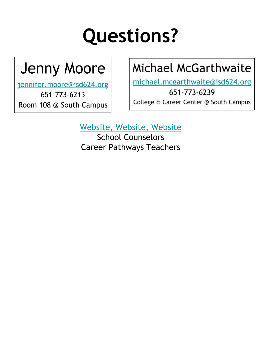## **Questions?**

## **Jenny Moore**

jennifer.moore@isd624.org

651-773-6213 Room 108 @ South Campus

## Michael McGarthwaite

michael.mcgarthwaite@isd624.org

651-773-6239 College & Career Center @ South Campus

Website, Website, Website

School Counselors Career Pathways Teachers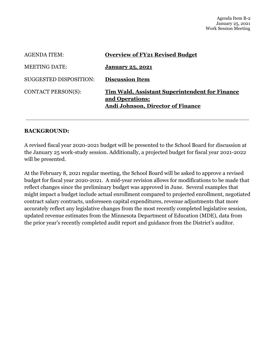| <b>AGENDA ITEM:</b>           | <b>Overview of FY21 Revised Budget</b>                                                                        |
|-------------------------------|---------------------------------------------------------------------------------------------------------------|
| <b>MEETING DATE:</b>          | January 25, 2021                                                                                              |
| <b>SUGGESTED DISPOSITION:</b> | <b>Discussion Item</b>                                                                                        |
| <b>CONTACT PERSON(S):</b>     | Tim Wald, Assistant Superintendent for Finance<br>and Operations:<br><b>Andi Johnson, Director of Finance</b> |

#### **BACKGROUND:**

A revised fiscal year 2020-2021 budget will be presented to the School Board for discussion at the January 25 work-study session. Additionally, a projected budget for fiscal year 2021-2022 will be presented.

At the February 8, 2021 regular meeting, the School Board will be asked to approve a revised budget for fiscal year 2020-2021. A mid-year revision allows for modifications to be made that reflect changes since the preliminary budget was approved in June. Several examples that might impact a budget include actual enrollment compared to projected enrollment, negotiated contract salary contracts, unforeseen capital expenditures, revenue adjustments that more accurately reflect any legislative changes from the most recently completed legislative session, updated revenue estimates from the Minnesota Department of Education (MDE), data from the prior year's recently completed audit report and guidance from the District's auditor.